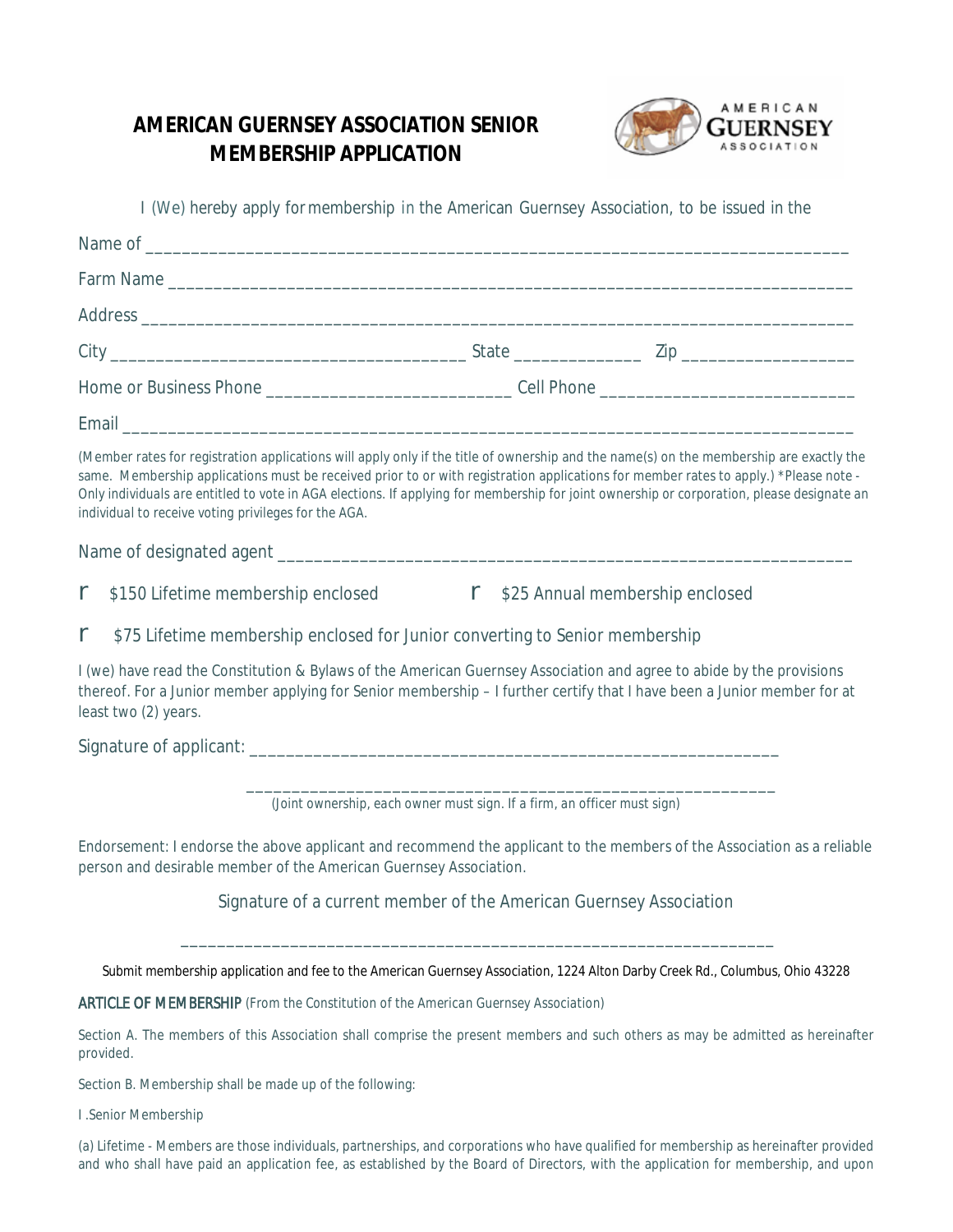## **AMERICAN GUERNSEY ASSOCIATION SENIOR MEMBERSHIP APPLICATION**



I (We) hereby apply formembership *in* the American Guernsey Association, to be issued in the Name of \_\_\_\_\_\_\_\_\_\_\_\_\_\_\_\_\_\_\_\_\_\_\_\_\_\_\_\_\_\_\_\_\_\_\_\_\_\_\_\_\_\_\_\_\_\_\_\_\_\_\_\_\_\_\_\_\_\_\_\_\_\_\_\_\_\_\_\_\_\_\_\_\_\_\_\_\_ Farm Name \_\_\_\_\_\_\_\_\_\_\_\_\_\_\_\_\_\_\_\_\_\_\_\_\_\_\_\_\_\_\_\_\_\_\_\_\_\_\_\_\_\_\_\_\_\_\_\_\_\_\_\_\_\_\_\_\_\_\_\_\_\_\_\_\_\_\_\_\_\_\_\_\_\_\_ Address \_\_\_\_\_\_\_\_\_\_\_\_\_\_\_\_\_\_\_\_\_\_\_\_\_\_\_\_\_\_\_\_\_\_\_\_\_\_\_\_\_\_\_\_\_\_\_\_\_\_\_\_\_\_\_\_\_\_\_\_\_\_\_\_\_\_\_\_\_\_\_\_\_\_\_\_\_\_ City \_\_\_\_\_\_\_\_\_\_\_\_\_\_\_\_\_\_\_\_\_\_\_\_\_\_\_\_\_\_\_\_\_\_\_\_\_\_\_ State \_\_\_\_\_\_\_\_\_\_\_\_\_\_ Zip \_\_\_\_\_\_\_\_\_\_\_\_\_\_\_\_\_\_\_ Home or Business Phone \_\_\_\_\_\_\_\_\_\_\_\_\_\_\_\_\_\_\_\_\_\_\_\_\_\_\_ Cell Phone \_\_\_\_\_\_\_\_\_\_\_\_\_\_\_\_\_\_\_\_\_\_\_\_\_\_\_\_ Email \_\_\_\_\_\_\_\_\_\_\_\_\_\_\_\_\_\_\_\_\_\_\_\_\_\_\_\_\_\_\_\_\_\_\_\_\_\_\_\_\_\_\_\_\_\_\_\_\_\_\_\_\_\_\_\_\_\_\_\_\_\_\_\_\_\_\_\_\_\_\_\_\_\_\_\_\_\_\_\_ (Member rates for registration applications will apply only if the title of ownership and the name(s) on the membership are exactly the same. Membership applications must be received prior to or with registration applications for member rates to apply.) *\*Please note - Only individuals are entitled to vote in AGA elections. If applying for membership for joint ownership or corporation, please designate an individual to receive voting privileges for the AGA.* Name of designated agent \_\_\_\_\_\_\_\_\_\_\_\_\_\_\_\_\_\_\_\_\_\_\_\_\_\_\_\_\_\_\_\_\_\_\_\_\_\_\_\_\_\_\_\_\_\_\_\_\_\_\_\_\_\_\_\_\_\_\_\_\_\_\_ **r** \$150 Lifetime membership enclosed **r** \$25 Annual membership enclosed **r** \$75 Lifetime membership enclosed for Junior converting to Senior membership I (we) have read the Constitution & Bylaws of the American Guernsey Association and agree to abide by the provisions thereof. For a Junior member applying for Senior membership – I further certify that I have been a Junior member for at least two (2) years. Signature of applicant:  $\Box$ \_\_\_\_\_\_\_\_\_\_\_\_\_\_\_\_\_\_\_\_\_\_\_\_\_\_\_\_\_\_\_\_\_\_\_\_\_\_\_\_\_\_\_\_\_\_\_\_\_\_\_\_\_\_\_\_\_\_ *(Joint ownership, each owner must sign. If a firm, an officer must sign)* Endorsement: I endorse the above applicant and recommend the applicant to the members of the Association as a reliable

person and desirable member of the American Guernsey Association.

Signature of a current member of the American Guernsey Association

\_\_\_\_\_\_\_\_\_\_\_\_\_\_\_\_\_\_\_\_\_\_\_\_\_\_\_\_\_\_\_\_\_\_\_\_\_\_\_\_\_\_\_\_\_\_\_\_\_\_\_\_\_\_\_\_\_\_\_\_\_\_\_\_\_

Submit membership application and fee to the American Guernsey Association, 1224 Alton Darby Creek Rd., Columbus, Ohio 43228

ARTICLE OF MEMBERSHIP *(From the Constitution of the American Guernsey Association)*

Section A. The members of this Association shall comprise the present members and such others as may be admitted as hereinafter provided.

Section B. Membership shall be made up of the following:

I .Senior Membership

(a) Lifetime - Members are those individuals, partnerships, and corporations who have qualified for membership as hereinafter provided and who shall have paid an application fee, as established by the Board of Directors, with the application for membership, and upon